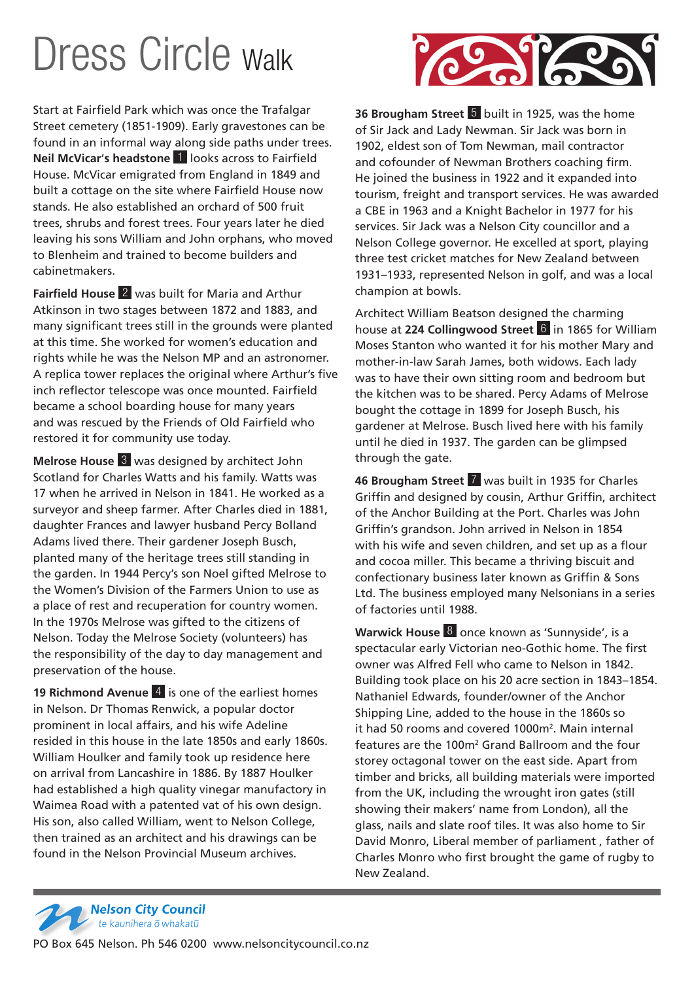## Dress Circle Walk

Start at Fairfield Park which was once the Trafalgar Street cemetery (1851-1909). Early gravestones can be found in an informal way along side paths under trees. **Neil McVicar**'**s headstone** 1 looks across to Fairfield House. McVicar emigrated from England in 1849 and built a cottage on the site where Fairfield House now stands. He also established an orchard of 500 fruit trees, shrubs and forest trees. Four years later he died leaving his sons William and John orphans, who moved to Blenheim and trained to become builders and cabinetmakers.

**Fairfield House** 2 was built for Maria and Arthur Atkinson in two stages between 1872 and 1883, and many significant trees still in the grounds were planted at this time. She worked for women's education and rights while he was the Nelson MP and an astronomer. A replica tower replaces the original where Arthur's five inch reflector telescope was once mounted. Fairfield became a school boarding house for many years and was rescued by the Friends of Old Fairfield who restored it for community use today.

**Melrose House** 3 was designed by architect John Scotland for Charles Watts and his family. Watts was 17 when he arrived in Nelson in 1841. He worked as a surveyor and sheep farmer. After Charles died in 1881, daughter Frances and lawyer husband Percy Bolland Adams lived there. Their gardener Joseph Busch, planted many of the heritage trees still standing in the garden. In 1944 Percy's son Noel gifted Melrose to the Women's Division of the Farmers Union to use as a place of rest and recuperation for country women. In the 1970s Melrose was gifted to the citizens of Nelson. Today the Melrose Society (volunteers) has the responsibility of the day to day management and preservation of the house.

**19 Richmond Avenue** 4 is one of the earliest homes in Nelson. Dr Thomas Renwick, a popular doctor prominent in local affairs, and his wife Adeline resided in this house in the late 1850s and early 1860s. William Houlker and family took up residence here on arrival from Lancashire in 1886. By 1887 Houlker had established a high quality vinegar manufactory in Waimea Road with a patented vat of his own design. His son, also called William, went to Nelson College, then trained as an architect and his drawings can be found in the Nelson Provincial Museum archives.



**36 Brougham Street** 5 built in 1925, was the home of Sir Jack and Lady Newman. Sir Jack was born in 1902, eldest son of Tom Newman, mail contractor and cofounder of Newman Brothers coaching firm. He joined the business in 1922 and it expanded into tourism, freight and transport services. He was awarded a CBE in 1963 and a Knight Bachelor in 1977 for his services. Sir Jack was a Nelson City councillor and a Nelson College governor. He excelled at sport, playing three test cricket matches for New Zealand between 1931–1933, represented Nelson in golf, and was a local champion at bowls.

Architect William Beatson designed the charming house at **224 Collingwood Street** 6 in 1865 for William Moses Stanton who wanted it for his mother Mary and mother-in-law Sarah James, both widows. Each lady was to have their own sitting room and bedroom but the kitchen was to be shared. Percy Adams of Melrose bought the cottage in 1899 for Joseph Busch, his gardener at Melrose. Busch lived here with his family until he died in 1937. The garden can be glimpsed through the gate.

**46 Brougham Street** 7 was built in 1935 for Charles Griffin and designed by cousin, Arthur Griffin, architect of the Anchor Building at the Port. Charles was John Griffin's grandson. John arrived in Nelson in 1854 with his wife and seven children, and set up as a flour and cocoa miller. This became a thriving biscuit and confectionary business later known as Griffin & Sons Ltd. The business employed many Nelsonians in a series of factories until 1988.

**Warwick House** 8 once known as 'Sunnyside', is a spectacular early Victorian neo-Gothic home. The first owner was Alfred Fell who came to Nelson in 1842. Building took place on his 20 acre section in 1843–1854. Nathaniel Edwards, founder/owner of the Anchor Shipping Line, added to the house in the 1860s so it had 50 rooms and covered 1000m<sup>2</sup>. Main internal features are the 100m<sup>2</sup> Grand Ballroom and the four storey octagonal tower on the east side. Apart from timber and bricks, all building materials were imported from the UK, including the wrought iron gates (still showing their makers' name from London), all the glass, nails and slate roof tiles. It was also home to Sir David Monro, Liberal member of parliament , father of Charles Monro who first brought the game of rugby to New Zealand.



PO Box 645 Nelson. Ph 546 0200 www.nelsoncitycouncil.co.nz